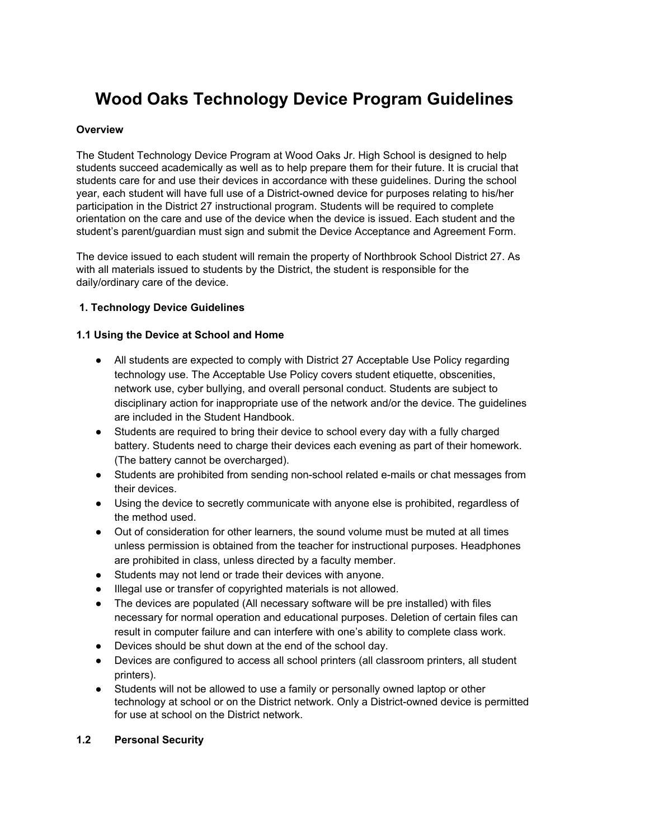# **Wood Oaks Technology Device Program Guidelines**

### **Overview**

The Student Technology Device Program at Wood Oaks Jr. High School is designed to help students succeed academically as well as to help prepare them for their future. It is crucial that students care for and use their devices in accordance with these guidelines. During the school year, each student will have full use of a District-owned device for purposes relating to his/her participation in the District 27 instructional program. Students will be required to complete orientation on the care and use of the device when the device is issued. Each student and the student's parent/guardian must sign and submit the Device Acceptance and Agreement Form.

The device issued to each student will remain the property of Northbrook School District 27. As with all materials issued to students by the District, the student is responsible for the daily/ordinary care of the device.

## **1.Technology Device Guidelines**

#### **1.1 Using the Device at School and Home**

- All students are expected to comply with District 27 Acceptable Use Policy regarding technology use. The Acceptable Use Policy covers student etiquette, obscenities, network use, cyber bullying, and overall personal conduct. Students are subject to disciplinary action for inappropriate use of the network and/or the device. The guidelines are included in the Student Handbook.
- Students are required to bring their device to school every day with a fully charged battery. Students need to charge their devices each evening as part of their homework. (The battery cannot be overcharged).
- Students are prohibited from sending non-school related e-mails or chat messages from their devices.
- Using the device to secretly communicate with anyone else is prohibited, regardless of the method used.
- Out of consideration for other learners, the sound volume must be muted at all times unless permission is obtained from the teacher for instructional purposes. Headphones are prohibited in class, unless directed by a faculty member.
- Students may not lend or trade their devices with anyone.
- Illegal use or transfer of copyrighted materials is not allowed.
- The devices are populated (All necessary software will be pre installed) with files necessary for normal operation and educational purposes. Deletion of certain files can result in computer failure and can interfere with one's ability to complete class work.
- Devices should be shut down at the end of the school day.
- Devices are configured to access all school printers (all classroom printers, all student printers).
- Students will not be allowed to use a family or personally owned laptop or other technology at school or on the District network. Only a District-owned device is permitted for use at school on the District network.

## **1.2 Personal Security**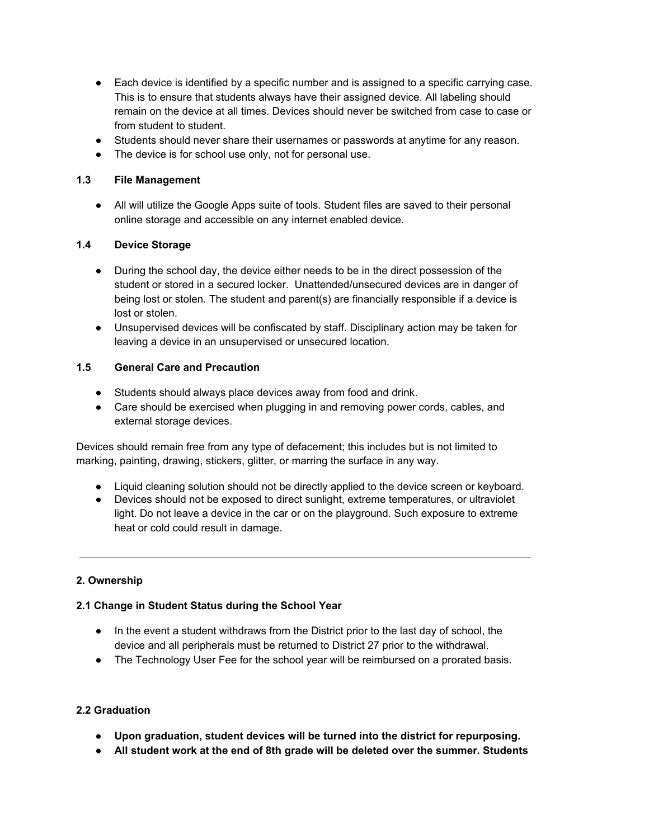- Each device is identified by a specific number and is assigned to a specific carrying case. This is to ensure that students always have their assigned device. All labeling should remain on the device at all times. Devices should never be switched from case to case or from student to student.
- Students should never share their usernames or passwords at anytime for any reason.
- The device is for school use only, not for personal use.

## **1.3 File Management**

● All will utilize the Google Apps suite of tools. Student files are saved to their personal online storage and accessible on any internet enabled device.

# **1.4 Device Storage**

- During the school day, the device either needs to be in the direct possession of the student or stored in a secured locker. Unattended/unsecured devices are in danger of being lost or stolen. The student and parent(s) are financially responsible if a device is lost or stolen.
- Unsupervised devices will be confiscated by staff. Disciplinary action may be taken for leaving a device in an unsupervised or unsecured location.

## **1.5 General Care and Precaution**

- Students should always place devices away from food and drink.
- Care should be exercised when plugging in and removing power cords, cables, and external storage devices.

Devices should remain free from any type of defacement; this includes but is not limited to marking, painting, drawing, stickers, glitter, or marring the surface in any way.

- Liquid cleaning solution should not be directly applied to the device screen or keyboard.
- Devices should not be exposed to direct sunlight, extreme temperatures, or ultraviolet light. Do not leave a device in the car or on the playground. Such exposure to extreme heat or cold could result in damage.

# **2.Ownership**

# **2.1 Change in Student Status during the School Year**

- In the event a student withdraws from the District prior to the last day of school, the device and all peripherals must be returned to District 27 prior to the withdrawal.
- The Technology User Fee for the school year will be reimbursed on a prorated basis.

# **2.2 Graduation**

- **Upon graduation, student devices will be turned into the district for repurposing.**
- **All student work at the end of 8th grade will be deleted over the summer. Students**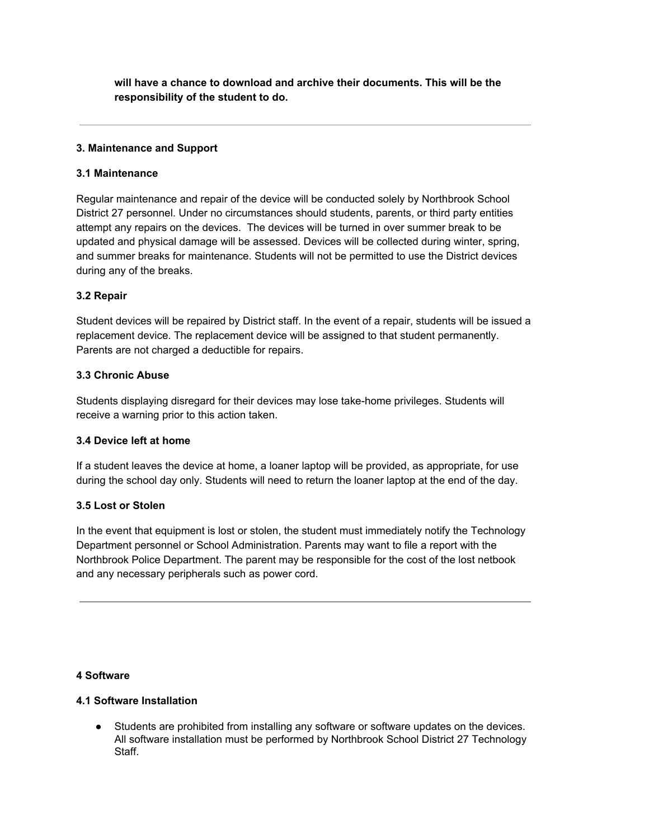**will have a chance to download and archive their documents. This will be the responsibility of the student to do.** 

#### **3.Maintenance and Support**

#### **3.1 Maintenance**

Regular maintenance and repair of the device will be conducted solely by Northbrook School District 27 personnel. Under no circumstances should students, parents, or third party entities attempt any repairs on the devices. The devices will be turned in over summer break to be updated and physical damage will be assessed. Devices will be collected during winter, spring, and summer breaks for maintenance. Students will not be permitted to use the District devices during any of the breaks.

## **3.2 Repair**

Student devices will be repaired by District staff. In the event of a repair, students will be issued a replacement device. The replacement device will be assigned to that student permanently. Parents are not charged a deductible for repairs.

#### **3.3 Chronic Abuse**

Students displaying disregard for their devices may lose take-home privileges. Students will receive a warning prior to this action taken.

## **3.4 Device left at home**

If a student leaves the device at home, a loaner laptop will be provided, as appropriate, for use during the school day only. Students will need to return the loaner laptop at the end of the day.

## **3.5 Lost or Stolen**

In the event that equipment is lost or stolen, the student must immediately notify the Technology Department personnel or School Administration. Parents may want to file a report with the Northbrook Police Department. The parent may be responsible for the cost of the lost netbook and any necessary peripherals such as power cord.

#### **4 Software**

#### **4.1 Software Installation**

● Students are prohibited from installing any software or software updates on the devices. All software installation must be performed by Northbrook School District 27 Technology Staff.